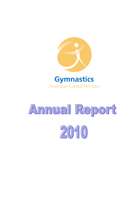

**Australian Capital Territory** 

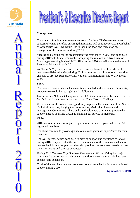



#### **Management**

The triennial funding requirements necessary for the ACT Government were successfully met, therefore ensuring that funding will continue for 2012. On behalf of Gymnastics ACT, we would like to thank the sport and recreation case managers for their assistance during 2010.

Succession planning for the organisation was established in 2009 and continued during 2010 with Mary Schumacher accepting the role of Executive Director. Mary began working in the GACT office during 2010 and will assume the role of Executive Director in early 2011.

As Nadine's 25 year tenure as Executive Director draws to a close, she will continue to liaise with Mary during 2011 in order to assist in a smooth transition and also to provide support for MG National Championships and WG National Clubs.

#### **Sport**

The details of our notable achievements are detailed in the sport specific reports; however we would like to highlight the following:

James Bacueti National Champion at Level 8 Open, James was also selected in the Men's Level 8 open Australian team in the Trans Tasman Challenge

We would also like to take this opportunity to personally thank each of our Sports Technical Directors, Judging Co-Coordinators, Medical Volunteers and Management Committees. These dedicated volunteers continue to provide the support needed to enable GACT to maintain our service to members.

#### **Clubs**

2010 saw our numbers of registered gymnasts continue to grow with over 3500 registered members.

The clubs continue to provide quality venues and gymnastics programs for their members.

The ACT member clubs continued to provide support and assistance to GACT during 2010 - they provided the use of their venues for the events and education courses held during the year and they also provided the volunteers needed to host the many events and courses conducted.

During 2010 Canberra City, Southern Canberra and Woden Valley had major capital works performed at their venues, the floor space at these clubs has seen considerable expansion.

To all of the member clubs and volunteers our sincere thanks for your continued support during 2010.

**Gymnastics ACT 01**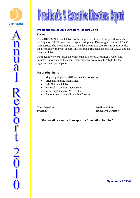





#### **President's/Executive Directors Report Con't**

#### **Events**

The 2010 WG National Clubs was the largest event in its history with over 750 participants; GACT continued its sponsorship with Dreamlight USA and AMCO Gymnastics. The event moved to a new level with this sponsorship as it provided the gymnasts with event apparel and ensured a financial success for GACT and its member clubs.

Once again we were fortunate to have the owners of Dreamlight, James and Annette Harvey attend the event, their presence was a real highlight for the organisers and participants.

#### **Major Highlights**

Major highlights in 2010 include the following:

- Triennial funding maintained
- WG National Clubs
- National Championships results
- Venue upgrades for ACT clubs
- Appointment of new Executive Director

*Tony Davidson Nadine Weight* **President Executive Director** 

 **"Gymnastics – more than sport; a foundation for life."**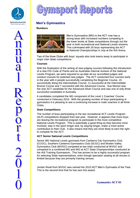



#### **Men's Gymnastics**

#### **Numbers**



Men's Gymnastics (MG) in the ACT now has a strong base with increased numbers competing in the lower levels at State competitions through out the year in both recreational and National Levels streams. This culminated with 20 boys representing the ACT at National Championships in July at the AIS Arena.

Two of the three Clubs with boys' squads also took teams away to participate in major inter-State competitions.

#### **Courses**

With the finalisation of the writing of new judging courses following the introduction of a new FIG Code of Points and an Australian internal revision of the National Levels Program, we were required to up-date all our accredited judges and conduct courses for potential new judges. The ACT conducted four courses early in the year with 4 people successfully completing the Beginner Course, 15 successfully doing the Intermediate Course; 11 successful at the Intermediate Bronze Course and 7 successful with the Advanced Course. Sue Morton was the only ACT candidate for the Advanced Silver Course and was one of only three successful candidates in Australia.

6 candidates completed the MG component of the Level 1 Coaches' Course conducted in February 2010. With the growing number of boys participating in gymnastics it is pleasing to see a continuing increase in male coaches in all three Clubs.

#### **State Competitions**

The number of boys participating in the two recreational ACT Levels Program (ALP) competitions dropped from last year. However, it appears that more boys are leaving the recreational program to participate in the more competitive National Levels Program. This is potentially a good thing as they become more involved, stay in the sport longer and, by staying longer, make a more active contribution to their Club. It also means that they are more likely to earn the right to compete for the ACT.

#### **ACT Senior National Levels Competitions**

Senior MG National Levels gymnasts from Canberra City Gymnastics Club (CCGC), Southern Canberra Gymnastics Club (SCGC) and Woden Valley Gymnastics Club (WVGC) competed at two trials conducted at WVGC and competed in a combined MG and WG at ACT State Championships conducted at the AIS Training Gymnasium. This has proven to be a highly successful program for selecting State representatives, even though spectator seating at all venues is limited because they are primarily training venues.

Jordan Read from WVGC was named the 2010 ACT Men's Gymnasts of the Year. This is the second time that he has won this award.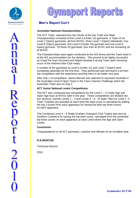

**Repor** 



## **Men's Report Con't**

#### **Australian National Championships**

The ACT Team, selected from the results of the two Trials and State Championships consisted of five Level 6 (Under 12) gymnasts, a Team of six Level 7 (Open) gymnasts, all from WVGC, three Level 7 (Open) individuals, four Level 8 (Open) gymnasts, one Level 9 (Under 16) gymnast and one Level 9 (open) gymnast. Of these 20 gymnasts, four train at SCGC and the remaining 16 at WVGC.

The Championships were again conducted at the AIS Arena and the Team lived in at the AIS accommodation for the duration. This proved to be highly successful as it kept the boys focussed and helped develop a strong Team spirit removing much of the inherent inter-Club rivalry.

A number of the gymnasts at Level 6 (Under 12) and Level 7 (Open) were competing nationally for the first time. They performed well and learnt a lot from the competition with the experience pushing them to do better next year.

After Day 1 of competition, James Bacueti was selected to represent Australia in the Australian Level 8 Open Team in the Trans Tasman Challenge which the Australian Team won on Day 2.

#### **ACT Junior National Levels Competitions**

The ACT also conducted two competitions for the Level 1 – 5 Under Age and Open Age boys at WVGC later in the year. These competitions are divided into two sections, namely Levels 1 – 3 and Levels 4 – 6. At State Titles for Level 1 -3 Team Trophies are awarded at each level the team score is calculated by adding the top 3 scores from each apparatus for having the best top three scores on each apparatus.

The Combined Level 4 – 6 Wade Graham Champion Club Trophy was won by Southern Canberra for having the top team score, calculated from the combined top three scores on each apparatus at each Level where the Age and Open Levels.

#### **Conclusion**

Congratulations to all ACT gymnasts, coaches and officials for an excellent year.

#### *R B MORTON*

Technical Director

2010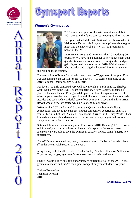

Report

2<br>0<br>1



#### **Women's Gymnastics**



2010 was a busy year for the WG committee with both ACT events and judging courses keeping us all on the go.

Last year I attended the WG National Levels Workshop in Melbourne. During this 2 day workshop I was able to give input into the new level 1-3, 4-6 & 7-10 programs on behalf of the ACT.

Mary Hewett continued her role as the ACT Judging Coordinator. We have had a number of new judges gain their qualifications and also had some of our qualified judges gain higher qualifications during 2010. Well done to all who attended and a big thankyou to Mary for organising

and running these courses.

Congratulation to Emma Carroll who was named ACT gymnast of the year, Emma was also named team captain for the ACT level  $7 - 10$  teams competing at the 2010 National Championships held in Perth.

Our level 7-10 girls competed very well at Nationals in Perth in 2010, Elizabeth Grant won silver in the level 8 beam competition, Kirsty Dabrowski gained 4<sup>th</sup> place on bars and Bianka Rose gained 4<sup>th</sup> place on floor. Congratulations to all who competed coached and judged! I would like to also thank the chaperones who attended and took such wonderful care of our gymnasts, a special thanks to Brian Hewett who at very late notice was able to attend as our driver.

2010 saw the ACT send a level 6 team to the Queensland border challenge competition, this event gave the girls a great competition experience. The ACT team of Melanie O'Mara, Alannah Bourandanis, Kirrilly Smith, Lucy White, Shani Edwards and Georgina Matan came  $3<sup>rd</sup>$  in the team event, congratulations to all of the gymnasts on a fantastic effort.

National Clubs was held once again in Canberra in 2010. Dreamlight Active Wear and Amco Gymnastics continued to be our major sponsor. In having these sponsors we were able to give the gymnasts, coaches & clubs some fantastic new experiences.

The ACT clubs competed very well, congratulations to Canberra City who placed  $6<sup>th</sup>$  in the overall Club section of the event.

A big thankyou to the ACT clubs – Woden Valley, Southern Canberra & Canberra City coaches, judges, gymnasts & volunteers for all their hard work.

Finally I would like to take this opportunity to congratulate all of the ACT clubs gymnasts coaches and judges for a great competition year well done everyone.

Carlene Bourandanis Technical Director 2010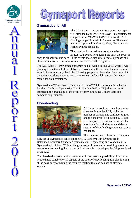

# RQ0  $S(0)(0)$

#### **Gymnastics for All**



The ACT State  $1 - 4$  competitions were once again well attended by all ACT clubs over 460 participants compete in the MG/WG/TRP sections of the ACT Grading competition held in September. The event was also supported by Cooma, Yass, Boorowa and Parkes gymnastics clubs.

The state  $1 - 4$  competitions continue to be the largest ACT events held during the year, the event is

open to all abilities and ages. These events show case what general gymnastics is all about, inclusion, fun, achievement and most of all recognition.

The ACT State  $5 - 10$  women's program had a revamp during 2010, while it was pleasing to see that all of the clubs were involved in this review, the association would like to especially thank the following people for there significant input into the review, Carlene Bourandanis, Mary Hewett and Madeline Reynolds many thanks for your assistance.

Gymnastics ACT was heavily involved in the ACT Schools competition held at Southern Canberra Gymnastics Club in October 2010. ACT judges and staff assisted in the organising of the event by providing judges, score table and competition personnel.

### **Cheerleading**



2010 saw the continued development of cheerleading in the ACT, while the number of participants continues to grow and the one event held during 2010 was well supported a competition venue that is suitable for both the stunt and dance sections of cheerleading continues to be a challenge.

The cheerleading clubs train at the three

fully set up gymnastics centres in the ACT, Canberra City Gymnastics in Belconnen, Southern Canberra Gymnastics in Tuggeranong and Woden Valley Gymnastics in Holder. Without the generosity of these clubs providing a training venue for cheerleading the sport would not be able to develop to its full potentional in the ACT.

The cheerleading community continues to investigate the possibility of having a venue that is suitable for all aspects of the sport of cheerleading, it is also looking at the possibility of having the required matting that can be used at alternate venues.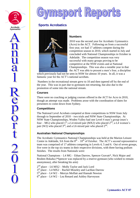

Report

**2001** 



#### **Sports Acrobatics**



#### **Numbers**

2010 was the second year for Acrobatic Gymnastics (Acro) in the ACT. Following on from a successful first year, we had 17 athletes compete during the competition season in 2010, which started in July and concluded with National Championships in October in Adelaide. The competition season was very successful with many groups proving to be competitive at the NSW events and at National Championships. This was also a notable year in that the ACT was able to present a men's four, a discipline

which previously had not be seen in NSW for almost 10 years. In all, it was a fantastic year for the ACT's national acrobats.

Numbers in the recreational stream grew to 10 and then tapered off by the end of the year. This was in part due to gymnasts not returning, but also due to the promotion of some into the national stream.

#### **Courses**

There were no coaching or judging courses offered in the ACT for Acro in 2010, though an attempt was made. Problems arose with the coordination of dates for presenters to come down from Sydney.

#### **Competitions**

The National Level Acrobats competed at three competitions in NSW from July through to September of 2010 – two trials and NSW State Championships. At NSW State Championships, Woden Valley had one Level 4 men's group (men's four – MG) who placed  $1^{st}$ ; a L4 mixed pair (MX2) who placed  $2^{nd}$ ; a L4 women's pair (W2) who placed  $3<sup>rd</sup>$ ; and a L6 mixed pair who placed  $2<sup>nd</sup>$ .

#### **Australian National Championships**

The Acrobatic Gymnastics National Championships was held at the Marion Leisure Centre in Adelaide, SA from the  $8<sup>th</sup> - 10<sup>th</sup>$  of October. The ACT's second representative team was comprised of 17 athletes competing in Levels 4, 5 and 6. Out of seven groups, five were in the top six teams in their respective divisions, with three having podium finishes. The results from Nationals were:

National Champions – L4 MG – Ethan Darrow, Spencer Gravatt\*, Nick Major and Reuben Bokaba (\*Spencer was replaced by a reserve gymnast (who wished to remain anonymous), after breaking his arm)

2<sup>nd</sup> place – L6 MX2 – Molly Taylor and Jack Lord

 $3<sup>rd</sup>$  place – L4 MX2 – Rachel Moseley and Lachlan Darrow

 $5<sup>th</sup>$  place – L4 W2 – Merryn Moffatt and Hannah Newton

 $6<sup>th</sup>$  place – L4 W2 – Lea Renard and Ashley Harveyson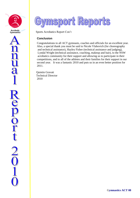

**Report** 

2<br>0<br>1



Sports Acrobatics Report Con't

#### **Conclusion**

 Congratulations to all ACT gymnasts, coaches and officials for an excellent year. Also, a special thank you must be said to Nicole Vlahovich (for choreography and technical assistance), Hayley Fisher (technical assistance and judging), Lyndal Wright (technical assistance, coaching, makeup and hair), to the NSW acrobatics community for their support and allowing us to participate in their competitions, and to all of the athletes and their families for their support in our second year. It was a fantastic 2010 and puts us in an even better position for 2011.

 Quintin Gravatt Technical Director 2010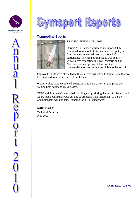



#### **Trampoline Sports**



#### TRAMPOLINING ACT - 2010

 During 2010, Canberra Trampoline Sports Club continued to train out of Daramarlan College Gym. Club numbers remained steady at around 45 participants. The competition squad was active with athletes competing in NSW, Victoria and at Nationals. All competing athletes achieved commendable scores putting the club into the top third.

 Improved results were attributed to the athletes' dedication to training and the two FIG standard tramps purchased from China.

Woden Valley Club completed extensions and have a new pit tramp and are holding both adult and child classes.

CTSC and Southern Canberra held grading comps during the year for levels  $1 - 4$ . CTSC held a Christmas Cup but due to problems with venues an ACT State Championship was not held. Planning for 2011 is underway.

Kerrin Madden

Technical Director May 2010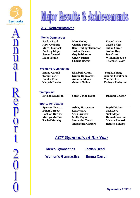



#### **ACT Representatives**

#### **Men's Gymnastics**

| <b>Jordan Read</b>        | <b>Matt Molloy</b>          | <b>Ewen Lawler</b>    |
|---------------------------|-----------------------------|-----------------------|
| <b>Rhys Cormick</b>       | <b>Charlie Pocock</b>       | <b>Jacob Briggs</b>   |
| <b>Marc Quantock</b>      | <b>Ben Reading-Thompson</b> | <b>Julian Oliver</b>  |
| <b>Zachery Major</b>      | <b>Joshua Deacon</b>        | <b>Joshua Reis</b>    |
| <b>James Bacueti</b>      | <b>Guy Balthazaar</b>       | <b>Ben Grant</b>      |
| <b>Liam Priddle</b>       | <b>Oliver Turner</b>        | <b>William Browne</b> |
|                           | <b>Charlie Rogers</b>       | <b>Thomas Glover</b>  |
|                           |                             |                       |
| <b>Women's Gymnastics</b> |                             |                       |

#### **Emma Carroll Tahni Lawler Bianka Rose Kenyah Lawler Elizabeth Grant Kirstie Dabrowski Annalise Moore Gemma Fallon Teaghan Hogg Claudia Frankham Mia Beecher Kathryn Finlayson**

#### **Trampoline**

**Brydon Davidson Sarah-Jayne Byrne Djakirri Crafter**

#### **Sports Acrobatics**

| <b>Spencer Gravatt</b> | <b>Ashley</b> |
|------------------------|---------------|
| <b>Ethan Darrow</b>    | Lea Re        |
| Lachlan Darrow         | Seija G       |
| <b>Merryn Moffatt</b>  | <b>Molly</b>  |
| <b>Rachel Moseley</b>  | Saman         |
|                        |               |

**Harveyson Lea Renard Seija Gravatt Taylor Samantha Trevis Alessandra Carrera** **Ingrid Walter Jack Lord Nick Major Hannah Newton Melissa Renard Reuben Bokaba**

# *ACT Gymnasts of the Year*

| <b>Men's Gymnastics</b> | <b>Jordan Read</b> |
|-------------------------|--------------------|
|                         |                    |

 **Women's Gymnastics Emma Carroll**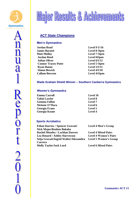



## **ACT State Champions**

#### **Men's Gymnastics**

| Jordan Read                | Level $9$ U/16      |
|----------------------------|---------------------|
| <b>James Bacueti</b>       | <b>Level 8 Open</b> |
| <b>Matt Molloy</b>         | <b>Level 7 Open</b> |
| <b>Jordan Reed</b>         | <b>Level 6Open</b>  |
| <b>Julian Oliver</b>       | Level 6/U12         |
| <b>Connor Tracey-Patte</b> | <b>Level 5 Open</b> |
| <b>Ryan Hanns</b>          | Level 5/U11         |
| <b>Simon Bewick</b>        | Level 4/U10         |
| <b>Callum Bowron</b>       | <b>Level 4/Open</b> |

#### **Wade Graham Shield Winner – Southern Canberra Gymnastics**

#### *Women's Gymnastics*

| <b>Emma Carroll</b>   | Level 10       |
|-----------------------|----------------|
| <b>Tahni Lawler</b>   | Level 8        |
| <b>Gemma Fallon</b>   | <b>Level</b> 7 |
| <b>Melanie O'Mara</b> | Level 6        |
| Georgia Evans         | Level 5        |
| Georgia Keane         | <b>Level 4</b> |

| <b>Ethan Darrow / Spencer Gravatt/</b> | Level 4 Men's Group          |
|----------------------------------------|------------------------------|
| Nick Major/Reuben Bokaba               |                              |
| <b>Rachel Moseley / Lachlan Darrow</b> | <b>Level 4 Mixed Pairs</b>   |
| <b>Lea Renard / Ashley Harveyson</b>   | <b>Level 4 Women's Pairs</b> |
| Seija Gravatt/Ingrid Walter/Alessandra | <b>Level 5 Women's Group</b> |
| Carrera                                |                              |
| <b>Molly Taylor/Jack Lord</b>          | <b>Level 6 Mixed Pairs</b>   |
|                                        |                              |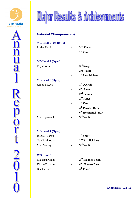





#### **National Championships**

## **MG Level 9 (Under 16)**

| Jordan Read | $3rd$ Floor           |
|-------------|-----------------------|
|             | 1 <sup>st</sup> Vault |

#### **MG Level 9 (Open)**

| $3rd$ Rings                   |
|-------------------------------|
| 3rd Vault                     |
| 1 <sup>st</sup> Parallel Bars |
|                               |
| $1st$ Overall                 |
| 4 <sup>th</sup> Floor         |
| $2nd$ Pommel                  |
|                               |

| $2nd$ Rings |
|-------------|
| $1st$ Vault |

- **4 th Parallel Bars**
- **6 th Horizontal . Bar**

#### Marc Ouantock **rd Vault**

#### **MG Level 7 (Open)**

| Joshua Deacon      | $\overline{\phantom{a}}$ | 1 <sup>st</sup> Vault         |
|--------------------|--------------------------|-------------------------------|
| Guy Balthazaar     | $\blacksquare$           | 2 <sup>nd</sup> Parallel Bars |
| <b>Matt Molloy</b> | $\overline{\phantom{0}}$ | $3rd$ Vault                   |

#### **WG Level 8**

| Elizabeth Grant   | 2 <sup>nd</sup> Balance Beam |
|-------------------|------------------------------|
| Kirstie Dabrowski | 4 <sup>th</sup> Uneven Bars  |
| Bianka Rose       | $4th$ Floor                  |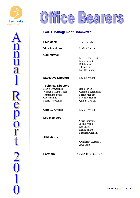



#### **GACT Management Committee**

| <b>President:</b>                                                                                                                         | <b>Tony Davidson</b>                                                                                   |
|-------------------------------------------------------------------------------------------------------------------------------------------|--------------------------------------------------------------------------------------------------------|
| <b>Vice President:</b>                                                                                                                    | <b>Lesley Dickens</b>                                                                                  |
| <b>Committee:</b>                                                                                                                         | Melissa Trace-Patte<br>Mary Hewett<br><b>Bob Morton</b><br><b>TJ</b> Rogers<br>Neville Rooney          |
| <b>Executive Director:</b>                                                                                                                | Nadine Weight                                                                                          |
| <b>Technical Directors:</b><br>Men's Gymnastics:<br>Women's Gymnastics:<br>Trampoline Sports:<br>Cheerleading<br><b>Sports Acrobatics</b> | <b>Bob Morton</b><br>Carlene Bourandanis<br>Kerrin Madden<br>Michelle Heines<br><b>Quintin Gravatt</b> |
| <b>Club 10 Officer:</b>                                                                                                                   | Nadine Weight                                                                                          |
| <b>Life Members:</b>                                                                                                                      | Chris Timpson<br>Jackie Wood<br>Les Sharp<br>Dahlia Sharp<br>Kathleen Graham                           |
| <b>Affiliations:</b>                                                                                                                      | Gymnastic Australia<br><b>ACTSport</b>                                                                 |
| <b>Partners:</b>                                                                                                                          | Sport & Recreation ACT                                                                                 |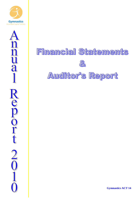



# **Financial Statements**  $\begin{matrix} 0 \\ 0 \end{matrix}$ Auditor's Report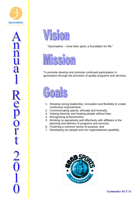





"Gymnastics – more than sport; a foundation for life."



To promote develop and promote continued participation in gymnastics through the provision of quality programs and services.



- 1. Showing strong leadership, innovation and flexibility to create continuous improvement;
- 2. Communicating openly, ethically and honestly;
- 3. Valuing diversity and treating people without bias;
- 4. Recognising achievements;
- 5. Working co-operatively and effectively with affiliates in the planning and delivery of programs and services;
- 6. Fostering a common sense of purpose; and
- 7. Developing our people and our organisational capability.